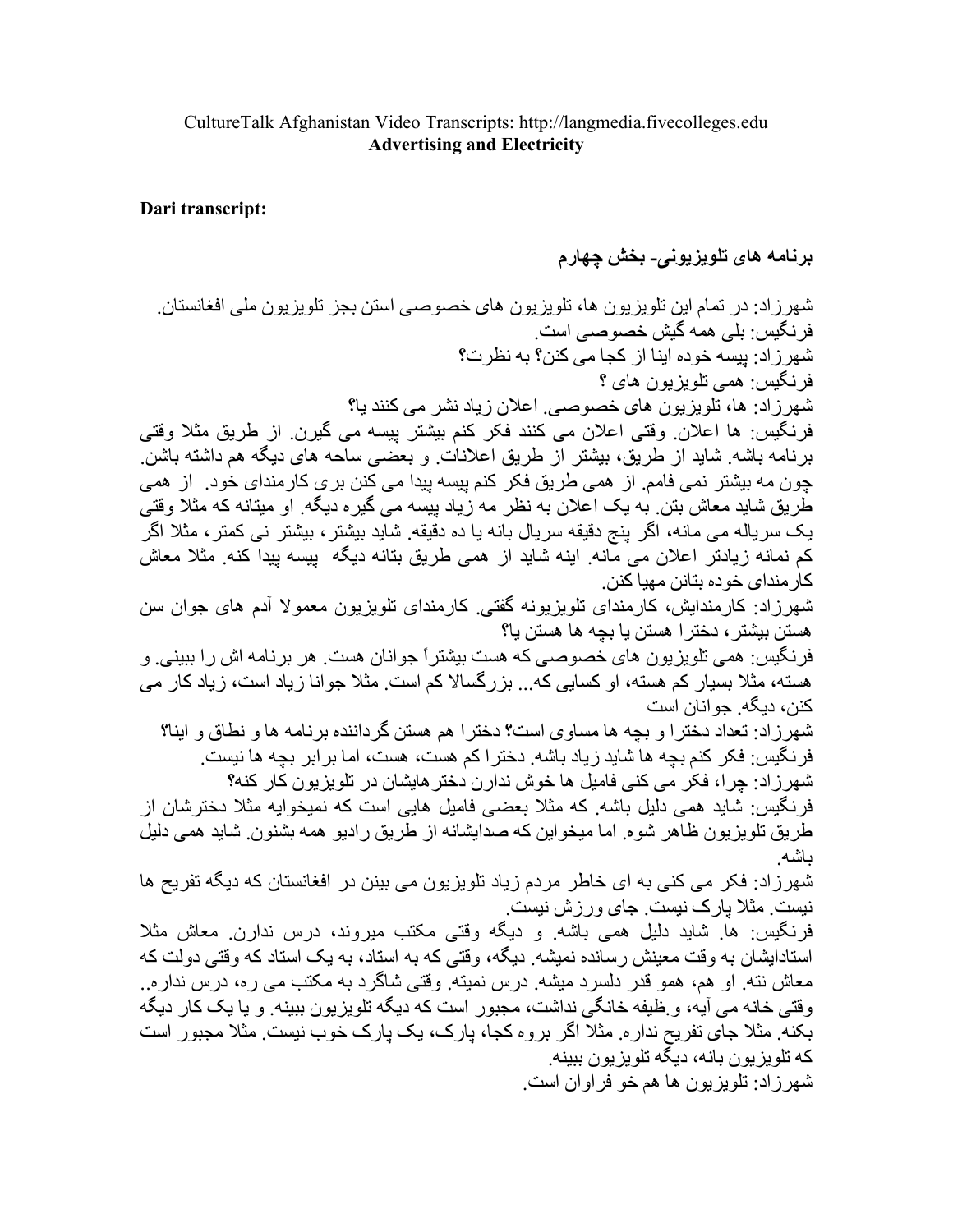## CultureTalk Afghanistan Video Transcripts: http://langmedia.fivecolleges.edu **Advertising and Electricity**

## Dari transcript:

برنامه های تلویزیونی۔ بخش چهارم

شهرزاد: در تمام این تلویزیون ها، تلویزیون های خصوصبی استن بجز تلویزیون ملی افغانستان. فر نگيس: بلي همه گيش خصو صبي است. شهر ز ادر ببسه خوده ابنا از کجا مے کنن؟ به نظر ت؟ فر نگيس: همي تلو پز يو ن هاي ؟ شهرزاد: ها، تلویزیون های خصوصبی اعلان زیاد نشر می کنند یا؟ فرنگيس: ها اعلان وقتي اعلان مي كنند فكر كنم بيشتر پيسه مي گيرن از طريق مثلا وقتي برنامه باشه شاید از طریق، بیشتر از طریق اعلانات و بعضبی ساحه های دیگه هم داشته باشن چون مه بیشتر نمی فامم. از همی طریق فکر کنم پیسه پیدا می کنن بری کارمندای خود. از همی طریق شاید معاش بتن به یک اعلان به نظر مه زیاد بیسه می گیره دیگه ِ او میتانه که مثلاً وقتی یک سریاله می مانه، اگر پنج دقیقه سریال بانه یا ده دقیقه ِ شاید بیشتر ، بیشتر نی کمتر ، مثلا اگر کم نمانه زیادتر اعلان می مانه ِ اینه شاید از همی طریق بتانه دیگه بیسه بیدا کنه ِ مثلاً معاش كار منداي خو ده بتانن مهيا كنن ِ شهرزاد: کارمندایش، کارمندای نلویزیونه گفتی. کارمندای نلویزیون معمولا آدم های جوان سن هستن بيشتر ، دختر ا هستن يا بچه ها هستن يا؟ فرنگیس: همی تلویزیون های خصوصی که هست بیشتراً جوانان هست. هر برنامه اش را ببینی. و هسته، مثلا بسیار کم هسته، او کسایی که... بزرگسالا کم است. مثلا جو انا زیاد است، زیاد کار می کنن، دبگه جو انان است شهرزاد: تعداد دخترا و بچه ها مساوی است؟ دخترا هم هستن گرداننده برنامه ها و نطاق و اینا؟ فرنگیس: فکر کنم بچه ها شاید زیاد باشه. دخترا کم هست، هست، اما برابر بچه ها نیست. شهرزاد: چرا، فکر می کنی فامیل ها خوش ندارن دختر هایشان در تلویزیون کار کنه؟ فرِ نگیس: شاید همی دلیل باشه ِ که مثلا بعضی فامیل هایی است که نمیخوایه مثلا دختر شان از طر يق تلو يز يو ن ظاهر شو ه ِ اما ميخو اين كه صدايشانه از طر يق ر اديو همه بشنو ن ِ شايد همي دليل ىاشە شهرزاد: فکر می کنی به ای خاطر مردم زیاد تلویزیون می بینن در افغانستان که دیگه تفریح ها نیست ِ مثلا یار ک نیست ِ جای ورزش نیست ِ فرنگیس: ها شاید دلیل همی باشه و دیگه وقتی مکتب میروند، درس ندارن معاش مثلا استادایشان به وقت معینش رسانده نمیشه ِ دیگه، وقتی که به استاد، به یک استاد که وقتی دولت که معاش نته ِ او هم، همو قدر دلسرد میشه ِ درس نمیته ِ وقتی شاگرد به مکتب می ره، درس نداره ِ وقتی خانه می آیه، و ظیفه خانگی نداشت، مجبور است که دیگه تلویزیون ببینه و یا یک کار دیگه بکنه ِ مثلا جای تفریح ندار ه ِ مثلا اگر بر وه کجا، پارک، یک پارک خوب نیست ِ مثلا مجبور است که تلویزیون بانه، دیگه تلویزیون ببینه شهر زاد: تلويزيون ها هم خو فراوان است.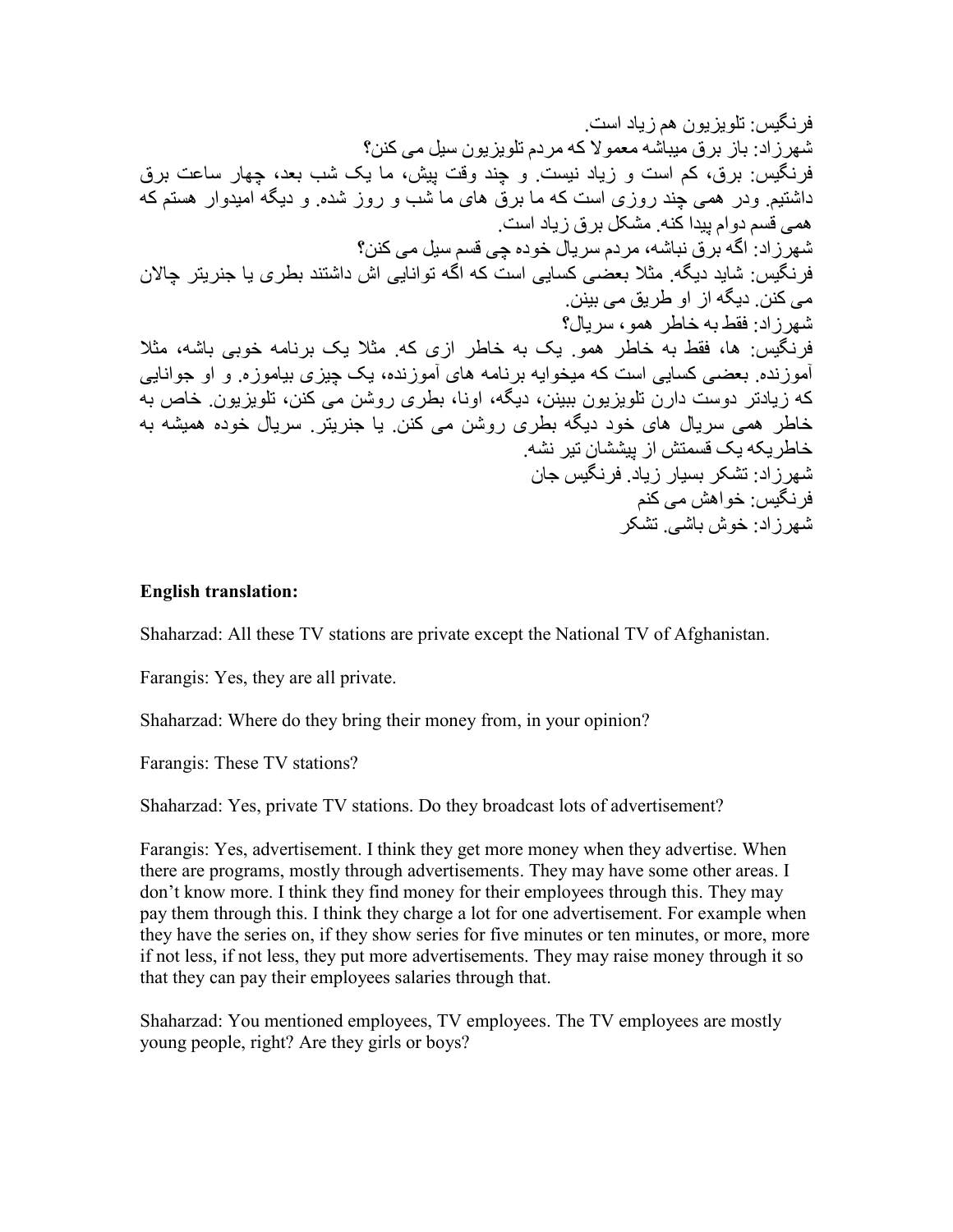## **English translation:**

Shaharzad: All these TV stations are private except the National TV of Afghanistan.

Farangis: Yes, they are all private.

Shaharzad: Where do they bring their money from, in your opinion?

Farangis: These TV stations?

Shaharzad: Yes, private TV stations. Do they broadcast lots of advertisement?

Farangis: Yes, advertisement. I think they get more money when they advertise. When there are programs, mostly through advertisements. They may have some other areas. I don't know more. I think they find money for their employees through this. They may pay them through this. I think they charge a lot for one advertisement. For example when they have the series on, if they show series for five minutes or ten minutes, or more, more if not less, if not less, they put more advertisements. They may raise money through it so that they can pay their employees salaries through that.

Shaharzad: You mentioned employees, TV employees. The TV employees are mostly young people, right? Are they girls or boys?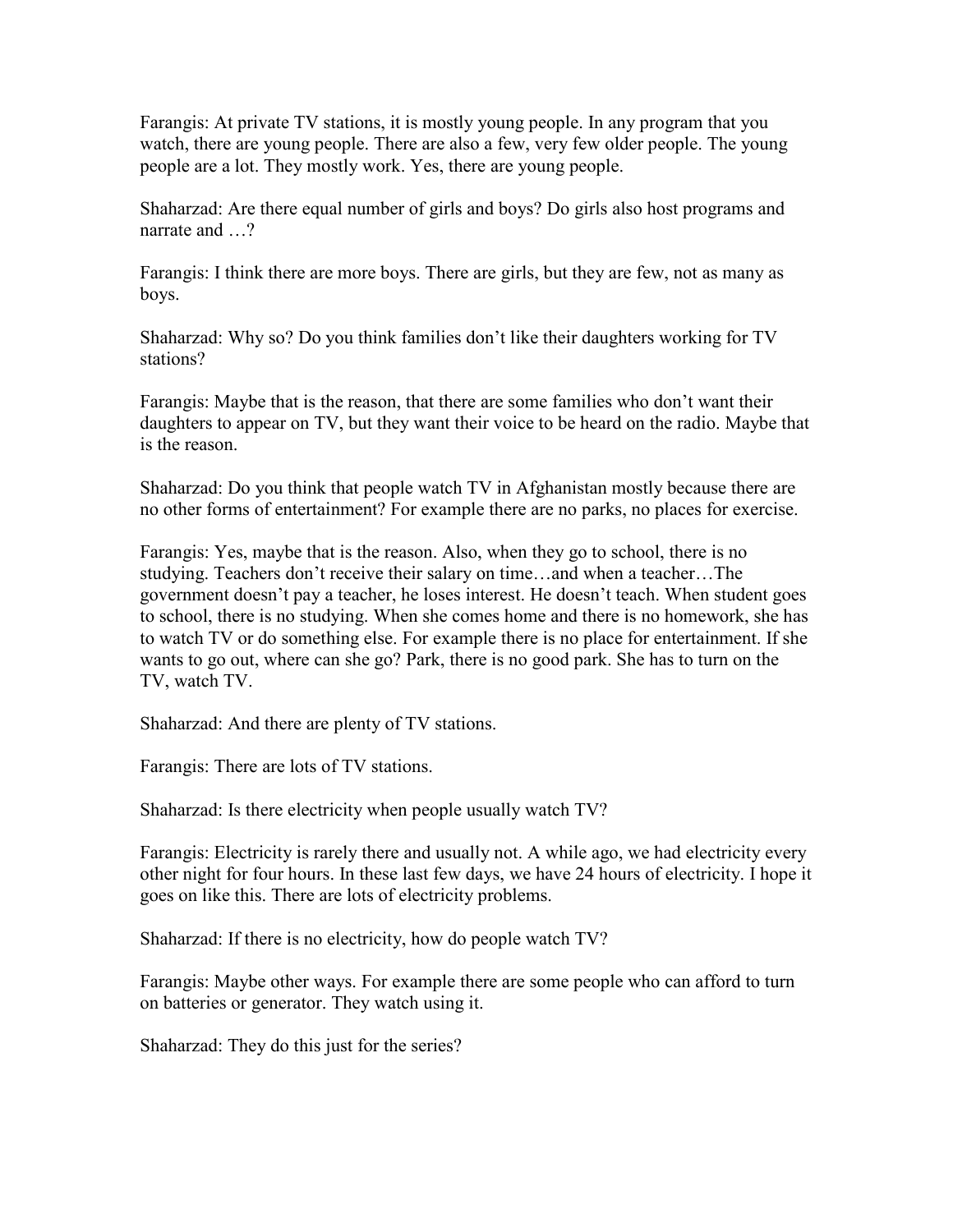Farangis: At private TV stations, it is mostly young people. In any program that you watch, there are young people. There are also a few, very few older people. The young people are a lot. They mostly work. Yes, there are young people.

Shaharzad: Are there equal number of girls and boys? Do girls also host programs and narrate and ...?

Farangis: I think there are more boys. There are girls, but they are few, not as many as boys.

Shaharzad: Why so? Do you think families don't like their daughters working for TV stations?

Farangis: Maybe that is the reason, that there are some families who don't want their daughters to appear on TV, but they want their voice to be heard on the radio. Maybe that is the reason.

Shaharzad: Do you think that people watch TV in Afghanistan mostly because there are no other forms of entertainment? For example there are no parks, no places for exercise.

Farangis: Yes, maybe that is the reason. Also, when they go to school, there is no studying. Teachers don't receive their salary on time…and when a teacher…The government doesn't pay a teacher, he loses interest. He doesn't teach. When student goes to school, there is no studying. When she comes home and there is no homework, she has to watch TV or do something else. For example there is no place for entertainment. If she wants to go out, where can she go? Park, there is no good park. She has to turn on the TV, watch TV.

Shaharzad: And there are plenty of TV stations.

Farangis: There are lots of TV stations.

Shaharzad: Is there electricity when people usually watch TV?

Farangis: Electricity is rarely there and usually not. A while ago, we had electricity every other night for four hours. In these last few days, we have 24 hours of electricity. I hope it goes on like this. There are lots of electricity problems.

Shaharzad: If there is no electricity, how do people watch TV?

Farangis: Maybe other ways. For example there are some people who can afford to turn on batteries or generator. They watch using it.

Shaharzad: They do this just for the series?